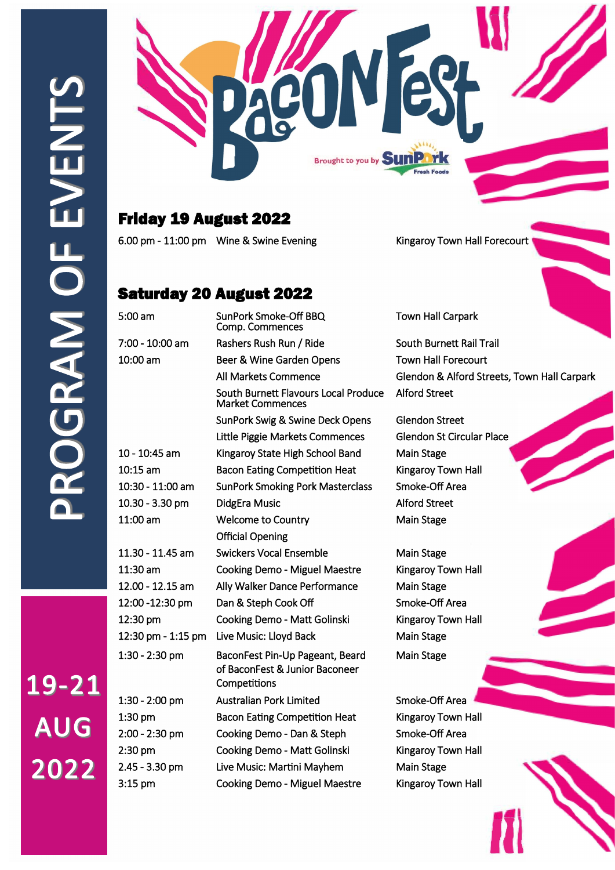19-21

**AUG** 

2022



## Friday 19 August 2022

6.00 pm - 11:00 pm Wine & Swine Evening Kingaroy Town Hall Forecourt

## Saturday 20 August 2022

 Comp. Commences 7:00 - 10:00 am Rashers Rush Run / Ride South Burnett Rail Trail 10:00 am Beer & Wine Garden Opens Town Hall Forecourt South Burnett Flavours Local Produce Alford Street Market Commences SunPork Swig & Swine Deck Opens Glendon Street Little Piggie Markets Commences Glendon St Circular Place 10 - 10:45 am Kingaroy State High School Band Main Stage 10:15 am Bacon Eating Competition Heat Kingaroy Town Hall 10:30 - 11:00 am SunPork Smoking Pork Masterclass Smoke-Off Area 10.30 - 3.30 pm DidgEra Music **Alford Street** 11:00 am Welcome to Country Main Stage Official Opening 11.30 - 11.45 am Swickers Vocal Ensemble Main Stage 11:30 am Cooking Demo - Miguel Maestre Kingaroy Town Hall 12.00 - 12.15 am Ally Walker Dance Performance Main Stage 12:00 -12:30 pm Dan & Steph Cook Off Smoke-Off Area 12:30 pm Cooking Demo - Matt Golinski Kingaroy Town Hall 12:30 pm - 1:15 pm Live Music: Lloyd Back Main Stage 1:30 - 2:30 pm BaconFest Pin-Up Pageant, Beard Main Stage of BaconFest & Junior Baconeer **Competitions** 1:30 - 2:00 pm Australian Pork Limited Smoke-Off Area 1:30 pm Bacon Eating Competition Heat Kingaroy Town Hall 2:00 - 2:30 pm Cooking Demo - Dan & Steph Smoke-Off Area 2:30 pm Cooking Demo - Matt Golinski Kingaroy Town Hall 2.45 - 3.30 pm Live Music: Martini Mayhem Main Stage 3:15 pm Cooking Demo - Miguel Maestre Kingaroy Town Hall

5:00 am SunPork Smoke-Off BBQ Town Hall Carpark

All Markets Commence Glendon & Alford Streets, Town Hall Carpark